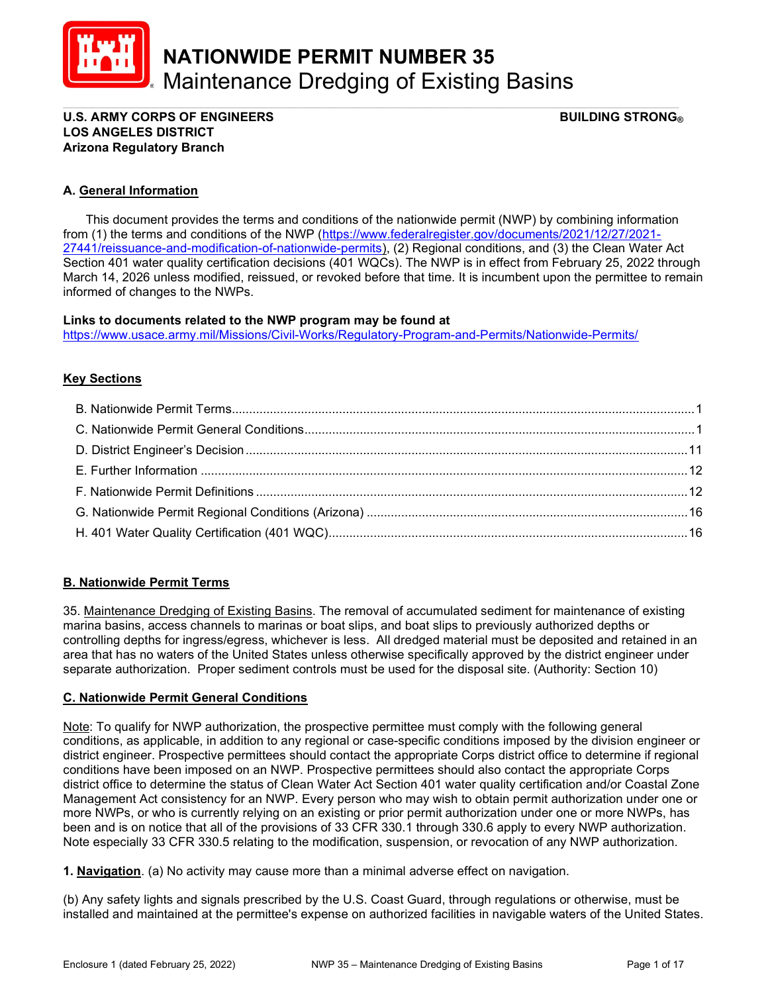

#### \_\_\_\_\_\_\_\_\_\_\_\_\_\_\_\_\_\_\_\_\_\_\_\_\_\_\_\_\_\_\_\_\_\_\_\_\_\_\_\_\_\_\_\_\_\_\_\_\_\_\_\_\_\_\_\_\_\_\_\_\_\_\_\_\_\_\_\_\_\_\_\_\_\_\_\_\_\_\_\_\_\_\_\_\_\_\_\_\_ U.S. ARMY CORPS OF ENGINEERS GEET ALL THE STRONG BUILDING STRONG BUILDING STRONG BUILDING STRONG BUILDING STRONG LOS ANGELES DISTRICT Arizona Regulatory Branch

## A. General Information

 This document provides the terms and conditions of the nationwide permit (NWP) by combining information from (1) the terms and conditions of the NWP (https://www.federalregister.gov/documents/2021/12/27/2021- 27441/reissuance-and-modification-of-nationwide-permits), (2) Regional conditions, and (3) the Clean Water Act Section 401 water quality certification decisions (401 WQCs). The NWP is in effect from February 25, 2022 through March 14, 2026 unless modified, reissued, or revoked before that time. It is incumbent upon the permittee to remain informed of changes to the NWPs.

### Links to documents related to the NWP program may be found at

https://www.usace.army.mil/Missions/Civil-Works/Regulatory-Program-and-Permits/Nationwide-Permits/

## **Key Sections**

# B. Nationwide Permit Terms

35. Maintenance Dredging of Existing Basins. The removal of accumulated sediment for maintenance of existing marina basins, access channels to marinas or boat slips, and boat slips to previously authorized depths or controlling depths for ingress/egress, whichever is less. All dredged material must be deposited and retained in an area that has no waters of the United States unless otherwise specifically approved by the district engineer under separate authorization. Proper sediment controls must be used for the disposal site. (Authority: Section 10)

#### C. Nationwide Permit General Conditions

Note: To qualify for NWP authorization, the prospective permittee must comply with the following general conditions, as applicable, in addition to any regional or case-specific conditions imposed by the division engineer or district engineer. Prospective permittees should contact the appropriate Corps district office to determine if regional conditions have been imposed on an NWP. Prospective permittees should also contact the appropriate Corps district office to determine the status of Clean Water Act Section 401 water quality certification and/or Coastal Zone Management Act consistency for an NWP. Every person who may wish to obtain permit authorization under one or more NWPs, or who is currently relying on an existing or prior permit authorization under one or more NWPs, has been and is on notice that all of the provisions of 33 CFR 330.1 through 330.6 apply to every NWP authorization. Note especially 33 CFR 330.5 relating to the modification, suspension, or revocation of any NWP authorization.

1. Navigation. (a) No activity may cause more than a minimal adverse effect on navigation.

(b) Any safety lights and signals prescribed by the U.S. Coast Guard, through regulations or otherwise, must be installed and maintained at the permittee's expense on authorized facilities in navigable waters of the United States.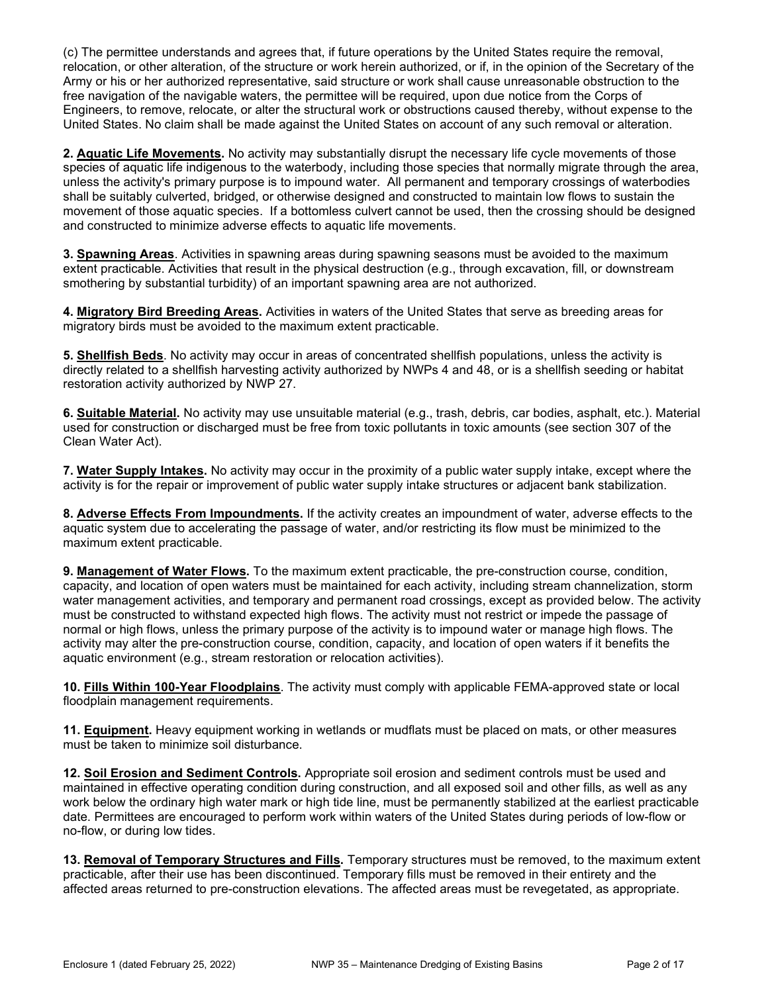(c) The permittee understands and agrees that, if future operations by the United States require the removal, relocation, or other alteration, of the structure or work herein authorized, or if, in the opinion of the Secretary of the Army or his or her authorized representative, said structure or work shall cause unreasonable obstruction to the free navigation of the navigable waters, the permittee will be required, upon due notice from the Corps of Engineers, to remove, relocate, or alter the structural work or obstructions caused thereby, without expense to the United States. No claim shall be made against the United States on account of any such removal or alteration.

2. Aquatic Life Movements. No activity may substantially disrupt the necessary life cycle movements of those species of aquatic life indigenous to the waterbody, including those species that normally migrate through the area, unless the activity's primary purpose is to impound water. All permanent and temporary crossings of waterbodies shall be suitably culverted, bridged, or otherwise designed and constructed to maintain low flows to sustain the movement of those aquatic species. If a bottomless culvert cannot be used, then the crossing should be designed and constructed to minimize adverse effects to aquatic life movements.

3. Spawning Areas. Activities in spawning areas during spawning seasons must be avoided to the maximum extent practicable. Activities that result in the physical destruction (e.g., through excavation, fill, or downstream smothering by substantial turbidity) of an important spawning area are not authorized.

4. Migratory Bird Breeding Areas. Activities in waters of the United States that serve as breeding areas for migratory birds must be avoided to the maximum extent practicable.

5. Shellfish Beds. No activity may occur in areas of concentrated shellfish populations, unless the activity is directly related to a shellfish harvesting activity authorized by NWPs 4 and 48, or is a shellfish seeding or habitat restoration activity authorized by NWP 27.

6. Suitable Material. No activity may use unsuitable material (e.g., trash, debris, car bodies, asphalt, etc.). Material used for construction or discharged must be free from toxic pollutants in toxic amounts (see section 307 of the Clean Water Act).

7. Water Supply Intakes. No activity may occur in the proximity of a public water supply intake, except where the activity is for the repair or improvement of public water supply intake structures or adjacent bank stabilization.

8. Adverse Effects From Impoundments. If the activity creates an impoundment of water, adverse effects to the aquatic system due to accelerating the passage of water, and/or restricting its flow must be minimized to the maximum extent practicable.

9. Management of Water Flows. To the maximum extent practicable, the pre-construction course, condition, capacity, and location of open waters must be maintained for each activity, including stream channelization, storm water management activities, and temporary and permanent road crossings, except as provided below. The activity must be constructed to withstand expected high flows. The activity must not restrict or impede the passage of normal or high flows, unless the primary purpose of the activity is to impound water or manage high flows. The activity may alter the pre-construction course, condition, capacity, and location of open waters if it benefits the aquatic environment (e.g., stream restoration or relocation activities).

10. Fills Within 100-Year Floodplains. The activity must comply with applicable FEMA-approved state or local floodplain management requirements.

11. **Equipment**. Heavy equipment working in wetlands or mudflats must be placed on mats, or other measures must be taken to minimize soil disturbance.

12. Soil Erosion and Sediment Controls. Appropriate soil erosion and sediment controls must be used and maintained in effective operating condition during construction, and all exposed soil and other fills, as well as any work below the ordinary high water mark or high tide line, must be permanently stabilized at the earliest practicable date. Permittees are encouraged to perform work within waters of the United States during periods of low-flow or no-flow, or during low tides.

13. Removal of Temporary Structures and Fills. Temporary structures must be removed, to the maximum extent practicable, after their use has been discontinued. Temporary fills must be removed in their entirety and the affected areas returned to pre-construction elevations. The affected areas must be revegetated, as appropriate.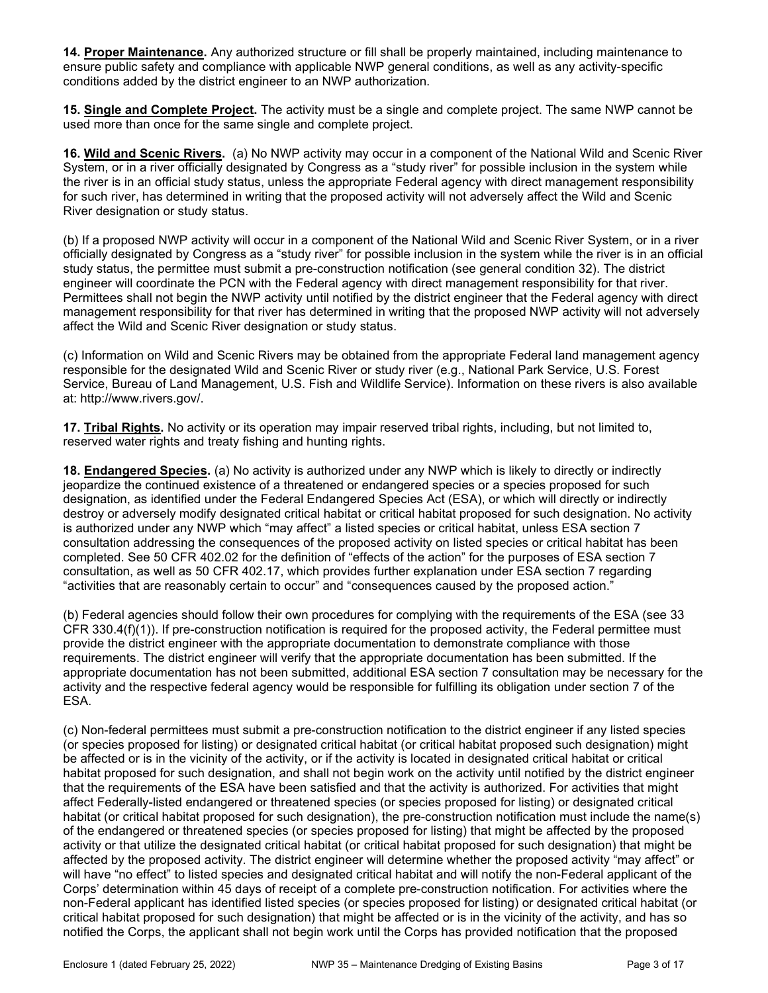14. Proper Maintenance. Any authorized structure or fill shall be properly maintained, including maintenance to ensure public safety and compliance with applicable NWP general conditions, as well as any activity-specific conditions added by the district engineer to an NWP authorization.

15. Single and Complete Project. The activity must be a single and complete project. The same NWP cannot be used more than once for the same single and complete project.

16. Wild and Scenic Rivers. (a) No NWP activity may occur in a component of the National Wild and Scenic River System, or in a river officially designated by Congress as a "study river" for possible inclusion in the system while the river is in an official study status, unless the appropriate Federal agency with direct management responsibility for such river, has determined in writing that the proposed activity will not adversely affect the Wild and Scenic River designation or study status.

(b) If a proposed NWP activity will occur in a component of the National Wild and Scenic River System, or in a river officially designated by Congress as a "study river" for possible inclusion in the system while the river is in an official study status, the permittee must submit a pre-construction notification (see general condition 32). The district engineer will coordinate the PCN with the Federal agency with direct management responsibility for that river. Permittees shall not begin the NWP activity until notified by the district engineer that the Federal agency with direct management responsibility for that river has determined in writing that the proposed NWP activity will not adversely affect the Wild and Scenic River designation or study status.

(c) Information on Wild and Scenic Rivers may be obtained from the appropriate Federal land management agency responsible for the designated Wild and Scenic River or study river (e.g., National Park Service, U.S. Forest Service, Bureau of Land Management, U.S. Fish and Wildlife Service). Information on these rivers is also available at: http://www.rivers.gov/.

17. Tribal Rights. No activity or its operation may impair reserved tribal rights, including, but not limited to, reserved water rights and treaty fishing and hunting rights.

18. Endangered Species. (a) No activity is authorized under any NWP which is likely to directly or indirectly jeopardize the continued existence of a threatened or endangered species or a species proposed for such designation, as identified under the Federal Endangered Species Act (ESA), or which will directly or indirectly destroy or adversely modify designated critical habitat or critical habitat proposed for such designation. No activity is authorized under any NWP which "may affect" a listed species or critical habitat, unless ESA section 7 consultation addressing the consequences of the proposed activity on listed species or critical habitat has been completed. See 50 CFR 402.02 for the definition of "effects of the action" for the purposes of ESA section 7 consultation, as well as 50 CFR 402.17, which provides further explanation under ESA section 7 regarding "activities that are reasonably certain to occur" and "consequences caused by the proposed action."

(b) Federal agencies should follow their own procedures for complying with the requirements of the ESA (see 33 CFR 330.4(f)(1)). If pre-construction notification is required for the proposed activity, the Federal permittee must provide the district engineer with the appropriate documentation to demonstrate compliance with those requirements. The district engineer will verify that the appropriate documentation has been submitted. If the appropriate documentation has not been submitted, additional ESA section 7 consultation may be necessary for the activity and the respective federal agency would be responsible for fulfilling its obligation under section 7 of the ESA.

(c) Non-federal permittees must submit a pre-construction notification to the district engineer if any listed species (or species proposed for listing) or designated critical habitat (or critical habitat proposed such designation) might be affected or is in the vicinity of the activity, or if the activity is located in designated critical habitat or critical habitat proposed for such designation, and shall not begin work on the activity until notified by the district engineer that the requirements of the ESA have been satisfied and that the activity is authorized. For activities that might affect Federally-listed endangered or threatened species (or species proposed for listing) or designated critical habitat (or critical habitat proposed for such designation), the pre-construction notification must include the name(s) of the endangered or threatened species (or species proposed for listing) that might be affected by the proposed activity or that utilize the designated critical habitat (or critical habitat proposed for such designation) that might be affected by the proposed activity. The district engineer will determine whether the proposed activity "may affect" or will have "no effect" to listed species and designated critical habitat and will notify the non-Federal applicant of the Corps' determination within 45 days of receipt of a complete pre-construction notification. For activities where the non-Federal applicant has identified listed species (or species proposed for listing) or designated critical habitat (or critical habitat proposed for such designation) that might be affected or is in the vicinity of the activity, and has so notified the Corps, the applicant shall not begin work until the Corps has provided notification that the proposed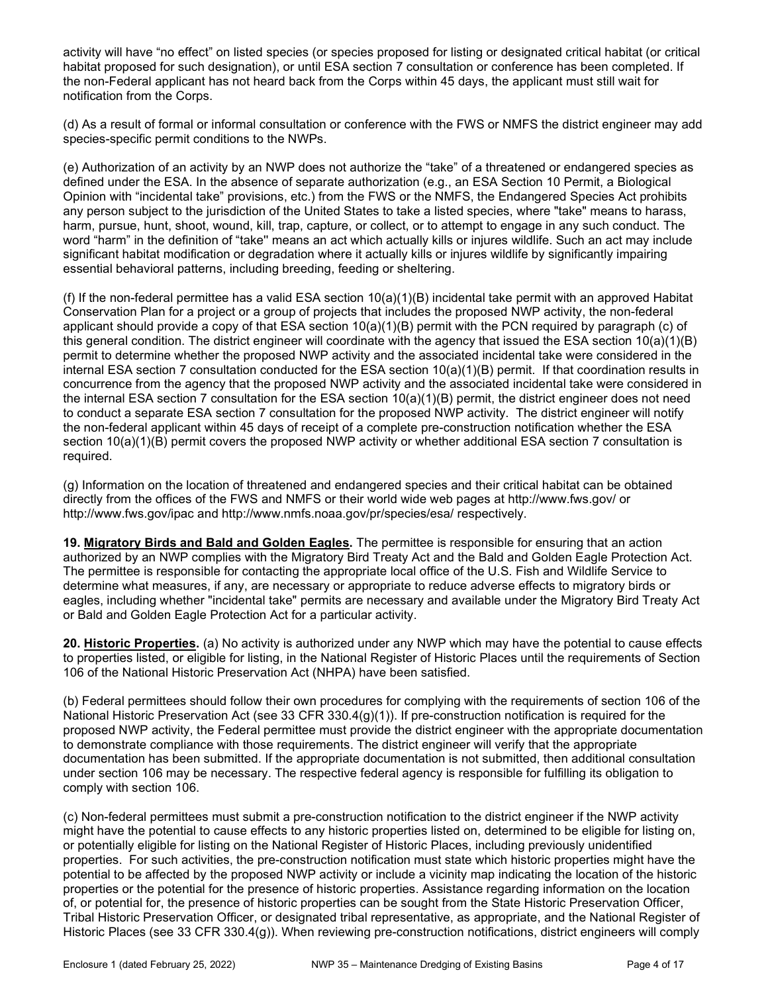activity will have "no effect" on listed species (or species proposed for listing or designated critical habitat (or critical habitat proposed for such designation), or until ESA section 7 consultation or conference has been completed. If the non-Federal applicant has not heard back from the Corps within 45 days, the applicant must still wait for notification from the Corps.

(d) As a result of formal or informal consultation or conference with the FWS or NMFS the district engineer may add species-specific permit conditions to the NWPs.

(e) Authorization of an activity by an NWP does not authorize the "take" of a threatened or endangered species as defined under the ESA. In the absence of separate authorization (e.g., an ESA Section 10 Permit, a Biological Opinion with "incidental take" provisions, etc.) from the FWS or the NMFS, the Endangered Species Act prohibits any person subject to the jurisdiction of the United States to take a listed species, where "take" means to harass, harm, pursue, hunt, shoot, wound, kill, trap, capture, or collect, or to attempt to engage in any such conduct. The word "harm" in the definition of "take'' means an act which actually kills or injures wildlife. Such an act may include significant habitat modification or degradation where it actually kills or injures wildlife by significantly impairing essential behavioral patterns, including breeding, feeding or sheltering.

(f) If the non-federal permittee has a valid ESA section  $10(a)(1)(B)$  incidental take permit with an approved Habitat Conservation Plan for a project or a group of projects that includes the proposed NWP activity, the non-federal applicant should provide a copy of that ESA section  $10(a)(1)(B)$  permit with the PCN required by paragraph (c) of this general condition. The district engineer will coordinate with the agency that issued the ESA section 10(a)(1)(B) permit to determine whether the proposed NWP activity and the associated incidental take were considered in the internal ESA section 7 consultation conducted for the ESA section 10(a)(1)(B) permit. If that coordination results in concurrence from the agency that the proposed NWP activity and the associated incidental take were considered in the internal ESA section 7 consultation for the ESA section 10(a)(1)(B) permit, the district engineer does not need to conduct a separate ESA section 7 consultation for the proposed NWP activity. The district engineer will notify the non-federal applicant within 45 days of receipt of a complete pre-construction notification whether the ESA section 10(a)(1)(B) permit covers the proposed NWP activity or whether additional ESA section 7 consultation is required.

(g) Information on the location of threatened and endangered species and their critical habitat can be obtained directly from the offices of the FWS and NMFS or their world wide web pages at http://www.fws.gov/ or http://www.fws.gov/ipac and http://www.nmfs.noaa.gov/pr/species/esa/ respectively.

19. Migratory Birds and Bald and Golden Eagles. The permittee is responsible for ensuring that an action authorized by an NWP complies with the Migratory Bird Treaty Act and the Bald and Golden Eagle Protection Act. The permittee is responsible for contacting the appropriate local office of the U.S. Fish and Wildlife Service to determine what measures, if any, are necessary or appropriate to reduce adverse effects to migratory birds or eagles, including whether "incidental take" permits are necessary and available under the Migratory Bird Treaty Act or Bald and Golden Eagle Protection Act for a particular activity.

20. Historic Properties. (a) No activity is authorized under any NWP which may have the potential to cause effects to properties listed, or eligible for listing, in the National Register of Historic Places until the requirements of Section 106 of the National Historic Preservation Act (NHPA) have been satisfied.

(b) Federal permittees should follow their own procedures for complying with the requirements of section 106 of the National Historic Preservation Act (see 33 CFR 330.4(g)(1)). If pre-construction notification is required for the proposed NWP activity, the Federal permittee must provide the district engineer with the appropriate documentation to demonstrate compliance with those requirements. The district engineer will verify that the appropriate documentation has been submitted. If the appropriate documentation is not submitted, then additional consultation under section 106 may be necessary. The respective federal agency is responsible for fulfilling its obligation to comply with section 106.

(c) Non-federal permittees must submit a pre-construction notification to the district engineer if the NWP activity might have the potential to cause effects to any historic properties listed on, determined to be eligible for listing on, or potentially eligible for listing on the National Register of Historic Places, including previously unidentified properties. For such activities, the pre-construction notification must state which historic properties might have the potential to be affected by the proposed NWP activity or include a vicinity map indicating the location of the historic properties or the potential for the presence of historic properties. Assistance regarding information on the location of, or potential for, the presence of historic properties can be sought from the State Historic Preservation Officer, Tribal Historic Preservation Officer, or designated tribal representative, as appropriate, and the National Register of Historic Places (see 33 CFR 330.4(g)). When reviewing pre-construction notifications, district engineers will comply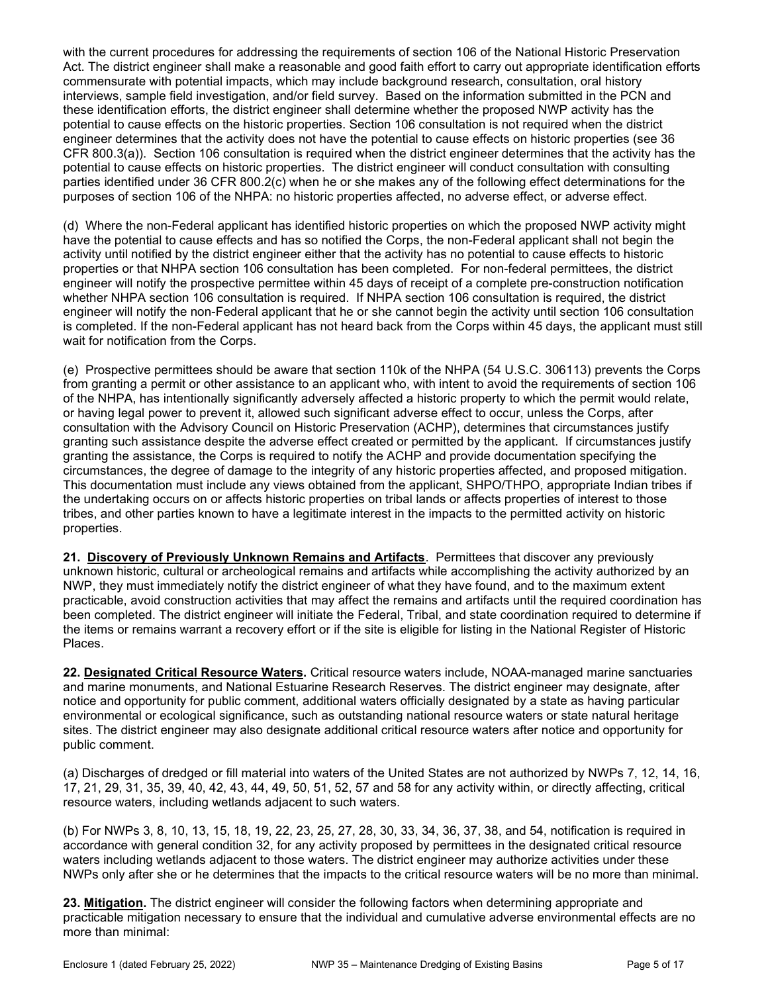with the current procedures for addressing the requirements of section 106 of the National Historic Preservation Act. The district engineer shall make a reasonable and good faith effort to carry out appropriate identification efforts commensurate with potential impacts, which may include background research, consultation, oral history interviews, sample field investigation, and/or field survey. Based on the information submitted in the PCN and these identification efforts, the district engineer shall determine whether the proposed NWP activity has the potential to cause effects on the historic properties. Section 106 consultation is not required when the district engineer determines that the activity does not have the potential to cause effects on historic properties (see 36 CFR 800.3(a)). Section 106 consultation is required when the district engineer determines that the activity has the potential to cause effects on historic properties. The district engineer will conduct consultation with consulting parties identified under 36 CFR 800.2(c) when he or she makes any of the following effect determinations for the purposes of section 106 of the NHPA: no historic properties affected, no adverse effect, or adverse effect.

(d) Where the non-Federal applicant has identified historic properties on which the proposed NWP activity might have the potential to cause effects and has so notified the Corps, the non-Federal applicant shall not begin the activity until notified by the district engineer either that the activity has no potential to cause effects to historic properties or that NHPA section 106 consultation has been completed. For non-federal permittees, the district engineer will notify the prospective permittee within 45 days of receipt of a complete pre-construction notification whether NHPA section 106 consultation is required. If NHPA section 106 consultation is required, the district engineer will notify the non-Federal applicant that he or she cannot begin the activity until section 106 consultation is completed. If the non-Federal applicant has not heard back from the Corps within 45 days, the applicant must still wait for notification from the Corps.

(e) Prospective permittees should be aware that section 110k of the NHPA (54 U.S.C. 306113) prevents the Corps from granting a permit or other assistance to an applicant who, with intent to avoid the requirements of section 106 of the NHPA, has intentionally significantly adversely affected a historic property to which the permit would relate, or having legal power to prevent it, allowed such significant adverse effect to occur, unless the Corps, after consultation with the Advisory Council on Historic Preservation (ACHP), determines that circumstances justify granting such assistance despite the adverse effect created or permitted by the applicant. If circumstances justify granting the assistance, the Corps is required to notify the ACHP and provide documentation specifying the circumstances, the degree of damage to the integrity of any historic properties affected, and proposed mitigation. This documentation must include any views obtained from the applicant, SHPO/THPO, appropriate Indian tribes if the undertaking occurs on or affects historic properties on tribal lands or affects properties of interest to those tribes, and other parties known to have a legitimate interest in the impacts to the permitted activity on historic properties.

21. Discovery of Previously Unknown Remains and Artifacts. Permittees that discover any previously unknown historic, cultural or archeological remains and artifacts while accomplishing the activity authorized by an NWP, they must immediately notify the district engineer of what they have found, and to the maximum extent practicable, avoid construction activities that may affect the remains and artifacts until the required coordination has been completed. The district engineer will initiate the Federal, Tribal, and state coordination required to determine if the items or remains warrant a recovery effort or if the site is eligible for listing in the National Register of Historic Places.

22. Designated Critical Resource Waters. Critical resource waters include, NOAA-managed marine sanctuaries and marine monuments, and National Estuarine Research Reserves. The district engineer may designate, after notice and opportunity for public comment, additional waters officially designated by a state as having particular environmental or ecological significance, such as outstanding national resource waters or state natural heritage sites. The district engineer may also designate additional critical resource waters after notice and opportunity for public comment.

(a) Discharges of dredged or fill material into waters of the United States are not authorized by NWPs 7, 12, 14, 16, 17, 21, 29, 31, 35, 39, 40, 42, 43, 44, 49, 50, 51, 52, 57 and 58 for any activity within, or directly affecting, critical resource waters, including wetlands adjacent to such waters.

(b) For NWPs 3, 8, 10, 13, 15, 18, 19, 22, 23, 25, 27, 28, 30, 33, 34, 36, 37, 38, and 54, notification is required in accordance with general condition 32, for any activity proposed by permittees in the designated critical resource waters including wetlands adjacent to those waters. The district engineer may authorize activities under these NWPs only after she or he determines that the impacts to the critical resource waters will be no more than minimal.

23. Mitigation. The district engineer will consider the following factors when determining appropriate and practicable mitigation necessary to ensure that the individual and cumulative adverse environmental effects are no more than minimal: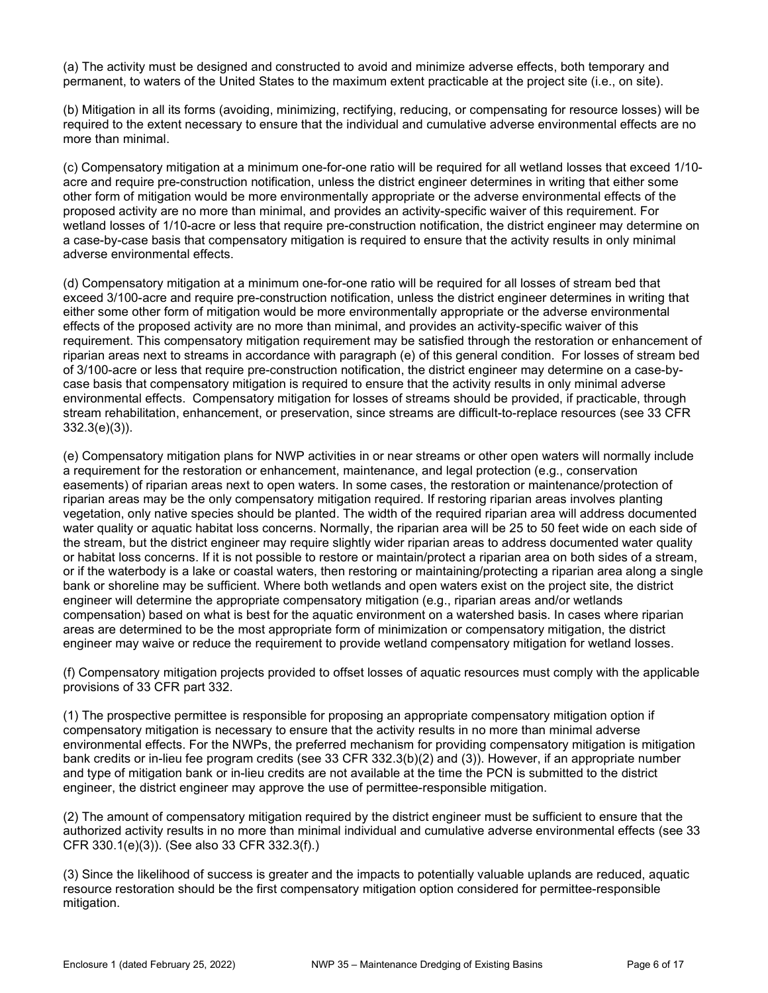(a) The activity must be designed and constructed to avoid and minimize adverse effects, both temporary and permanent, to waters of the United States to the maximum extent practicable at the project site (i.e., on site).

(b) Mitigation in all its forms (avoiding, minimizing, rectifying, reducing, or compensating for resource losses) will be required to the extent necessary to ensure that the individual and cumulative adverse environmental effects are no more than minimal.

(c) Compensatory mitigation at a minimum one-for-one ratio will be required for all wetland losses that exceed 1/10 acre and require pre-construction notification, unless the district engineer determines in writing that either some other form of mitigation would be more environmentally appropriate or the adverse environmental effects of the proposed activity are no more than minimal, and provides an activity-specific waiver of this requirement. For wetland losses of 1/10-acre or less that require pre-construction notification, the district engineer may determine on a case-by-case basis that compensatory mitigation is required to ensure that the activity results in only minimal adverse environmental effects.

(d) Compensatory mitigation at a minimum one-for-one ratio will be required for all losses of stream bed that exceed 3/100-acre and require pre-construction notification, unless the district engineer determines in writing that either some other form of mitigation would be more environmentally appropriate or the adverse environmental effects of the proposed activity are no more than minimal, and provides an activity-specific waiver of this requirement. This compensatory mitigation requirement may be satisfied through the restoration or enhancement of riparian areas next to streams in accordance with paragraph (e) of this general condition. For losses of stream bed of 3/100-acre or less that require pre-construction notification, the district engineer may determine on a case-bycase basis that compensatory mitigation is required to ensure that the activity results in only minimal adverse environmental effects. Compensatory mitigation for losses of streams should be provided, if practicable, through stream rehabilitation, enhancement, or preservation, since streams are difficult-to-replace resources (see 33 CFR 332.3(e)(3)).

(e) Compensatory mitigation plans for NWP activities in or near streams or other open waters will normally include a requirement for the restoration or enhancement, maintenance, and legal protection (e.g., conservation easements) of riparian areas next to open waters. In some cases, the restoration or maintenance/protection of riparian areas may be the only compensatory mitigation required. If restoring riparian areas involves planting vegetation, only native species should be planted. The width of the required riparian area will address documented water quality or aquatic habitat loss concerns. Normally, the riparian area will be 25 to 50 feet wide on each side of the stream, but the district engineer may require slightly wider riparian areas to address documented water quality or habitat loss concerns. If it is not possible to restore or maintain/protect a riparian area on both sides of a stream, or if the waterbody is a lake or coastal waters, then restoring or maintaining/protecting a riparian area along a single bank or shoreline may be sufficient. Where both wetlands and open waters exist on the project site, the district engineer will determine the appropriate compensatory mitigation (e.g., riparian areas and/or wetlands compensation) based on what is best for the aquatic environment on a watershed basis. In cases where riparian areas are determined to be the most appropriate form of minimization or compensatory mitigation, the district engineer may waive or reduce the requirement to provide wetland compensatory mitigation for wetland losses.

(f) Compensatory mitigation projects provided to offset losses of aquatic resources must comply with the applicable provisions of 33 CFR part 332.

(1) The prospective permittee is responsible for proposing an appropriate compensatory mitigation option if compensatory mitigation is necessary to ensure that the activity results in no more than minimal adverse environmental effects. For the NWPs, the preferred mechanism for providing compensatory mitigation is mitigation bank credits or in-lieu fee program credits (see 33 CFR 332.3(b)(2) and (3)). However, if an appropriate number and type of mitigation bank or in-lieu credits are not available at the time the PCN is submitted to the district engineer, the district engineer may approve the use of permittee-responsible mitigation.

(2) The amount of compensatory mitigation required by the district engineer must be sufficient to ensure that the authorized activity results in no more than minimal individual and cumulative adverse environmental effects (see 33 CFR 330.1(e)(3)). (See also 33 CFR 332.3(f).)

(3) Since the likelihood of success is greater and the impacts to potentially valuable uplands are reduced, aquatic resource restoration should be the first compensatory mitigation option considered for permittee-responsible mitigation.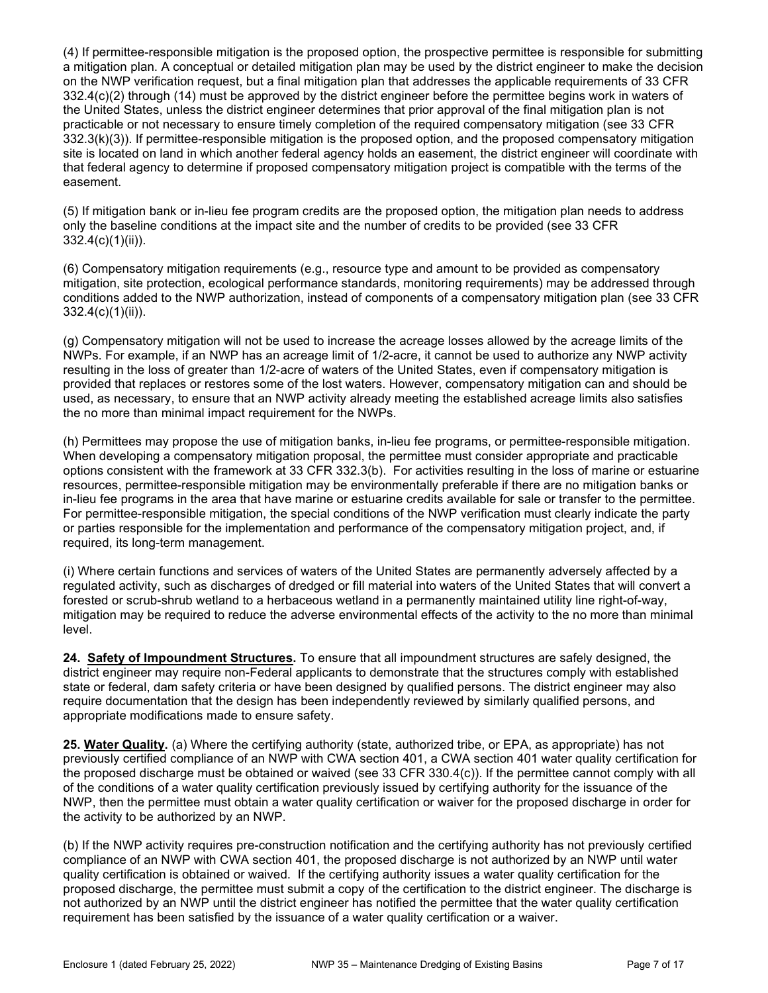(4) If permittee-responsible mitigation is the proposed option, the prospective permittee is responsible for submitting a mitigation plan. A conceptual or detailed mitigation plan may be used by the district engineer to make the decision on the NWP verification request, but a final mitigation plan that addresses the applicable requirements of 33 CFR 332.4(c)(2) through (14) must be approved by the district engineer before the permittee begins work in waters of the United States, unless the district engineer determines that prior approval of the final mitigation plan is not practicable or not necessary to ensure timely completion of the required compensatory mitigation (see 33 CFR 332.3(k)(3)). If permittee-responsible mitigation is the proposed option, and the proposed compensatory mitigation site is located on land in which another federal agency holds an easement, the district engineer will coordinate with that federal agency to determine if proposed compensatory mitigation project is compatible with the terms of the easement.

(5) If mitigation bank or in-lieu fee program credits are the proposed option, the mitigation plan needs to address only the baseline conditions at the impact site and the number of credits to be provided (see 33 CFR 332.4(c)(1)(ii)).

(6) Compensatory mitigation requirements (e.g., resource type and amount to be provided as compensatory mitigation, site protection, ecological performance standards, monitoring requirements) may be addressed through conditions added to the NWP authorization, instead of components of a compensatory mitigation plan (see 33 CFR 332.4(c)(1)(ii)).

(g) Compensatory mitigation will not be used to increase the acreage losses allowed by the acreage limits of the NWPs. For example, if an NWP has an acreage limit of 1/2-acre, it cannot be used to authorize any NWP activity resulting in the loss of greater than 1/2-acre of waters of the United States, even if compensatory mitigation is provided that replaces or restores some of the lost waters. However, compensatory mitigation can and should be used, as necessary, to ensure that an NWP activity already meeting the established acreage limits also satisfies the no more than minimal impact requirement for the NWPs.

(h) Permittees may propose the use of mitigation banks, in-lieu fee programs, or permittee-responsible mitigation. When developing a compensatory mitigation proposal, the permittee must consider appropriate and practicable options consistent with the framework at 33 CFR 332.3(b). For activities resulting in the loss of marine or estuarine resources, permittee-responsible mitigation may be environmentally preferable if there are no mitigation banks or in-lieu fee programs in the area that have marine or estuarine credits available for sale or transfer to the permittee. For permittee-responsible mitigation, the special conditions of the NWP verification must clearly indicate the party or parties responsible for the implementation and performance of the compensatory mitigation project, and, if required, its long-term management.

(i) Where certain functions and services of waters of the United States are permanently adversely affected by a regulated activity, such as discharges of dredged or fill material into waters of the United States that will convert a forested or scrub-shrub wetland to a herbaceous wetland in a permanently maintained utility line right-of-way, mitigation may be required to reduce the adverse environmental effects of the activity to the no more than minimal level.

24. Safety of Impoundment Structures. To ensure that all impoundment structures are safely designed, the district engineer may require non-Federal applicants to demonstrate that the structures comply with established state or federal, dam safety criteria or have been designed by qualified persons. The district engineer may also require documentation that the design has been independently reviewed by similarly qualified persons, and appropriate modifications made to ensure safety.

25. Water Quality. (a) Where the certifying authority (state, authorized tribe, or EPA, as appropriate) has not previously certified compliance of an NWP with CWA section 401, a CWA section 401 water quality certification for the proposed discharge must be obtained or waived (see 33 CFR 330.4(c)). If the permittee cannot comply with all of the conditions of a water quality certification previously issued by certifying authority for the issuance of the NWP, then the permittee must obtain a water quality certification or waiver for the proposed discharge in order for the activity to be authorized by an NWP.

(b) If the NWP activity requires pre-construction notification and the certifying authority has not previously certified compliance of an NWP with CWA section 401, the proposed discharge is not authorized by an NWP until water quality certification is obtained or waived. If the certifying authority issues a water quality certification for the proposed discharge, the permittee must submit a copy of the certification to the district engineer. The discharge is not authorized by an NWP until the district engineer has notified the permittee that the water quality certification requirement has been satisfied by the issuance of a water quality certification or a waiver.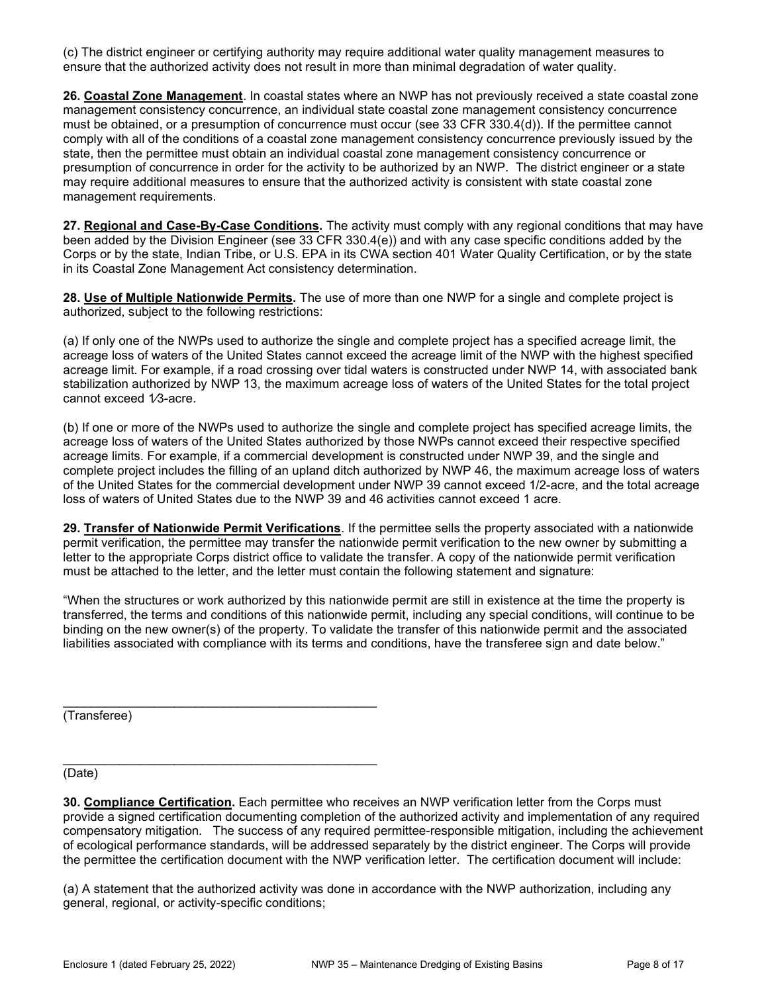(c) The district engineer or certifying authority may require additional water quality management measures to ensure that the authorized activity does not result in more than minimal degradation of water quality.

26. Coastal Zone Management. In coastal states where an NWP has not previously received a state coastal zone management consistency concurrence, an individual state coastal zone management consistency concurrence must be obtained, or a presumption of concurrence must occur (see 33 CFR 330.4(d)). If the permittee cannot comply with all of the conditions of a coastal zone management consistency concurrence previously issued by the state, then the permittee must obtain an individual coastal zone management consistency concurrence or presumption of concurrence in order for the activity to be authorized by an NWP. The district engineer or a state may require additional measures to ensure that the authorized activity is consistent with state coastal zone management requirements.

27. Regional and Case-By-Case Conditions. The activity must comply with any regional conditions that may have been added by the Division Engineer (see 33 CFR 330.4(e)) and with any case specific conditions added by the Corps or by the state, Indian Tribe, or U.S. EPA in its CWA section 401 Water Quality Certification, or by the state in its Coastal Zone Management Act consistency determination.

28. Use of Multiple Nationwide Permits. The use of more than one NWP for a single and complete project is authorized, subject to the following restrictions:

(a) If only one of the NWPs used to authorize the single and complete project has a specified acreage limit, the acreage loss of waters of the United States cannot exceed the acreage limit of the NWP with the highest specified acreage limit. For example, if a road crossing over tidal waters is constructed under NWP 14, with associated bank stabilization authorized by NWP 13, the maximum acreage loss of waters of the United States for the total project cannot exceed 1/3-acre.

(b) If one or more of the NWPs used to authorize the single and complete project has specified acreage limits, the acreage loss of waters of the United States authorized by those NWPs cannot exceed their respective specified acreage limits. For example, if a commercial development is constructed under NWP 39, and the single and complete project includes the filling of an upland ditch authorized by NWP 46, the maximum acreage loss of waters of the United States for the commercial development under NWP 39 cannot exceed 1/2-acre, and the total acreage loss of waters of United States due to the NWP 39 and 46 activities cannot exceed 1 acre.

29. Transfer of Nationwide Permit Verifications. If the permittee sells the property associated with a nationwide permit verification, the permittee may transfer the nationwide permit verification to the new owner by submitting a letter to the appropriate Corps district office to validate the transfer. A copy of the nationwide permit verification must be attached to the letter, and the letter must contain the following statement and signature:

"When the structures or work authorized by this nationwide permit are still in existence at the time the property is transferred, the terms and conditions of this nationwide permit, including any special conditions, will continue to be binding on the new owner(s) of the property. To validate the transfer of this nationwide permit and the associated liabilities associated with compliance with its terms and conditions, have the transferee sign and date below."

(Transferee)

(Date)

30. Compliance Certification. Each permittee who receives an NWP verification letter from the Corps must provide a signed certification documenting completion of the authorized activity and implementation of any required compensatory mitigation. The success of any required permittee-responsible mitigation, including the achievement of ecological performance standards, will be addressed separately by the district engineer. The Corps will provide the permittee the certification document with the NWP verification letter. The certification document will include:

(a) A statement that the authorized activity was done in accordance with the NWP authorization, including any general, regional, or activity-specific conditions;

\_\_\_\_\_\_\_\_\_\_\_\_\_\_\_\_\_\_\_\_\_\_\_\_\_\_\_\_\_\_\_\_\_\_\_\_\_\_\_\_\_\_\_\_\_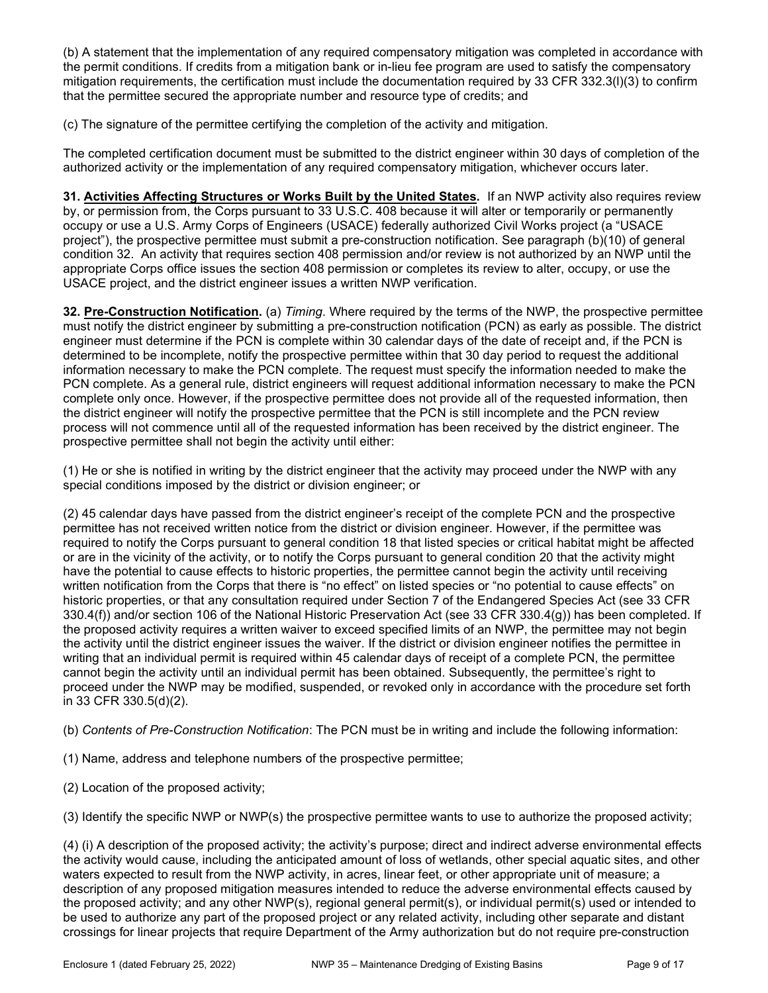(b) A statement that the implementation of any required compensatory mitigation was completed in accordance with the permit conditions. If credits from a mitigation bank or in-lieu fee program are used to satisfy the compensatory mitigation requirements, the certification must include the documentation required by 33 CFR 332.3(l)(3) to confirm that the permittee secured the appropriate number and resource type of credits; and

(c) The signature of the permittee certifying the completion of the activity and mitigation.

The completed certification document must be submitted to the district engineer within 30 days of completion of the authorized activity or the implementation of any required compensatory mitigation, whichever occurs later.

31. Activities Affecting Structures or Works Built by the United States. If an NWP activity also requires review by, or permission from, the Corps pursuant to 33 U.S.C. 408 because it will alter or temporarily or permanently occupy or use a U.S. Army Corps of Engineers (USACE) federally authorized Civil Works project (a "USACE project"), the prospective permittee must submit a pre-construction notification. See paragraph (b)(10) of general condition 32. An activity that requires section 408 permission and/or review is not authorized by an NWP until the appropriate Corps office issues the section 408 permission or completes its review to alter, occupy, or use the USACE project, and the district engineer issues a written NWP verification.

32. Pre-Construction Notification. (a) Timing. Where required by the terms of the NWP, the prospective permittee must notify the district engineer by submitting a pre-construction notification (PCN) as early as possible. The district engineer must determine if the PCN is complete within 30 calendar days of the date of receipt and, if the PCN is determined to be incomplete, notify the prospective permittee within that 30 day period to request the additional information necessary to make the PCN complete. The request must specify the information needed to make the PCN complete. As a general rule, district engineers will request additional information necessary to make the PCN complete only once. However, if the prospective permittee does not provide all of the requested information, then the district engineer will notify the prospective permittee that the PCN is still incomplete and the PCN review process will not commence until all of the requested information has been received by the district engineer. The prospective permittee shall not begin the activity until either:

(1) He or she is notified in writing by the district engineer that the activity may proceed under the NWP with any special conditions imposed by the district or division engineer; or

(2) 45 calendar days have passed from the district engineer's receipt of the complete PCN and the prospective permittee has not received written notice from the district or division engineer. However, if the permittee was required to notify the Corps pursuant to general condition 18 that listed species or critical habitat might be affected or are in the vicinity of the activity, or to notify the Corps pursuant to general condition 20 that the activity might have the potential to cause effects to historic properties, the permittee cannot begin the activity until receiving written notification from the Corps that there is "no effect" on listed species or "no potential to cause effects" on historic properties, or that any consultation required under Section 7 of the Endangered Species Act (see 33 CFR 330.4(f)) and/or section 106 of the National Historic Preservation Act (see 33 CFR 330.4(g)) has been completed. If the proposed activity requires a written waiver to exceed specified limits of an NWP, the permittee may not begin the activity until the district engineer issues the waiver. If the district or division engineer notifies the permittee in writing that an individual permit is required within 45 calendar days of receipt of a complete PCN, the permittee cannot begin the activity until an individual permit has been obtained. Subsequently, the permittee's right to proceed under the NWP may be modified, suspended, or revoked only in accordance with the procedure set forth in 33 CFR 330.5(d)(2).

(b) Contents of Pre-Construction Notification: The PCN must be in writing and include the following information:

- (1) Name, address and telephone numbers of the prospective permittee;
- (2) Location of the proposed activity;

(3) Identify the specific NWP or NWP(s) the prospective permittee wants to use to authorize the proposed activity;

(4) (i) A description of the proposed activity; the activity's purpose; direct and indirect adverse environmental effects the activity would cause, including the anticipated amount of loss of wetlands, other special aquatic sites, and other waters expected to result from the NWP activity, in acres, linear feet, or other appropriate unit of measure; a description of any proposed mitigation measures intended to reduce the adverse environmental effects caused by the proposed activity; and any other NWP(s), regional general permit(s), or individual permit(s) used or intended to be used to authorize any part of the proposed project or any related activity, including other separate and distant crossings for linear projects that require Department of the Army authorization but do not require pre-construction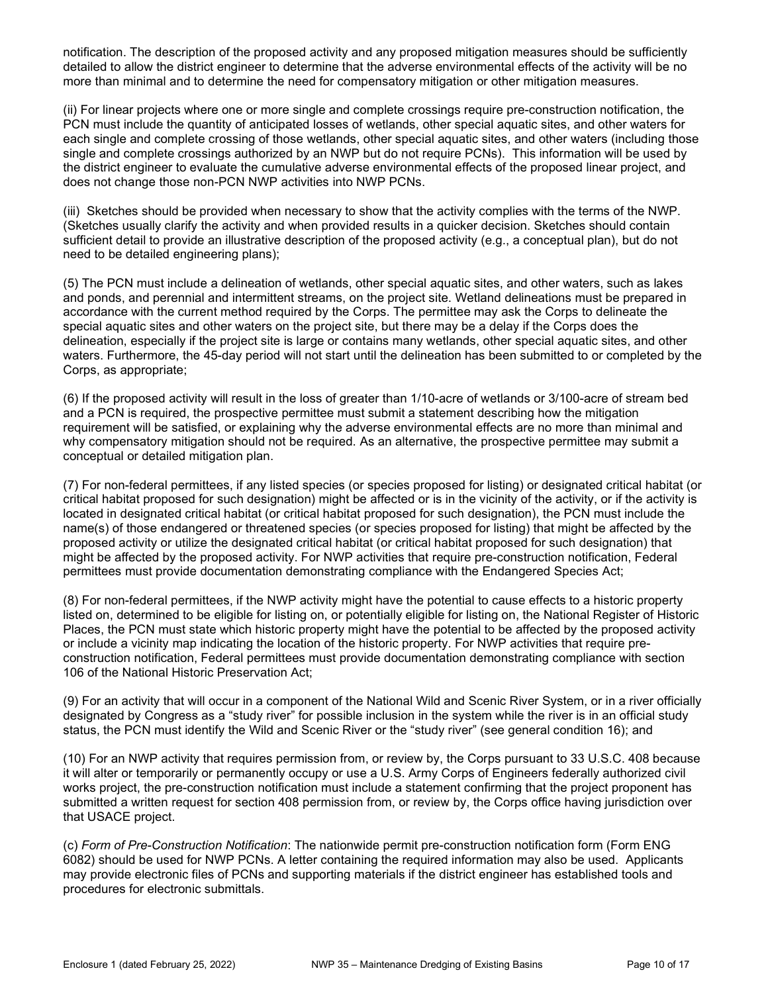notification. The description of the proposed activity and any proposed mitigation measures should be sufficiently detailed to allow the district engineer to determine that the adverse environmental effects of the activity will be no more than minimal and to determine the need for compensatory mitigation or other mitigation measures.

(ii) For linear projects where one or more single and complete crossings require pre-construction notification, the PCN must include the quantity of anticipated losses of wetlands, other special aquatic sites, and other waters for each single and complete crossing of those wetlands, other special aquatic sites, and other waters (including those single and complete crossings authorized by an NWP but do not require PCNs). This information will be used by the district engineer to evaluate the cumulative adverse environmental effects of the proposed linear project, and does not change those non-PCN NWP activities into NWP PCNs.

(iii) Sketches should be provided when necessary to show that the activity complies with the terms of the NWP. (Sketches usually clarify the activity and when provided results in a quicker decision. Sketches should contain sufficient detail to provide an illustrative description of the proposed activity (e.g., a conceptual plan), but do not need to be detailed engineering plans);

(5) The PCN must include a delineation of wetlands, other special aquatic sites, and other waters, such as lakes and ponds, and perennial and intermittent streams, on the project site. Wetland delineations must be prepared in accordance with the current method required by the Corps. The permittee may ask the Corps to delineate the special aquatic sites and other waters on the project site, but there may be a delay if the Corps does the delineation, especially if the project site is large or contains many wetlands, other special aquatic sites, and other waters. Furthermore, the 45-day period will not start until the delineation has been submitted to or completed by the Corps, as appropriate;

(6) If the proposed activity will result in the loss of greater than 1/10-acre of wetlands or 3/100-acre of stream bed and a PCN is required, the prospective permittee must submit a statement describing how the mitigation requirement will be satisfied, or explaining why the adverse environmental effects are no more than minimal and why compensatory mitigation should not be required. As an alternative, the prospective permittee may submit a conceptual or detailed mitigation plan.

(7) For non-federal permittees, if any listed species (or species proposed for listing) or designated critical habitat (or critical habitat proposed for such designation) might be affected or is in the vicinity of the activity, or if the activity is located in designated critical habitat (or critical habitat proposed for such designation), the PCN must include the name(s) of those endangered or threatened species (or species proposed for listing) that might be affected by the proposed activity or utilize the designated critical habitat (or critical habitat proposed for such designation) that might be affected by the proposed activity. For NWP activities that require pre-construction notification, Federal permittees must provide documentation demonstrating compliance with the Endangered Species Act;

(8) For non-federal permittees, if the NWP activity might have the potential to cause effects to a historic property listed on, determined to be eligible for listing on, or potentially eligible for listing on, the National Register of Historic Places, the PCN must state which historic property might have the potential to be affected by the proposed activity or include a vicinity map indicating the location of the historic property. For NWP activities that require preconstruction notification, Federal permittees must provide documentation demonstrating compliance with section 106 of the National Historic Preservation Act;

(9) For an activity that will occur in a component of the National Wild and Scenic River System, or in a river officially designated by Congress as a "study river" for possible inclusion in the system while the river is in an official study status, the PCN must identify the Wild and Scenic River or the "study river" (see general condition 16); and

(10) For an NWP activity that requires permission from, or review by, the Corps pursuant to 33 U.S.C. 408 because it will alter or temporarily or permanently occupy or use a U.S. Army Corps of Engineers federally authorized civil works project, the pre-construction notification must include a statement confirming that the project proponent has submitted a written request for section 408 permission from, or review by, the Corps office having jurisdiction over that USACE project.

(c) Form of Pre-Construction Notification: The nationwide permit pre-construction notification form (Form ENG 6082) should be used for NWP PCNs. A letter containing the required information may also be used. Applicants may provide electronic files of PCNs and supporting materials if the district engineer has established tools and procedures for electronic submittals.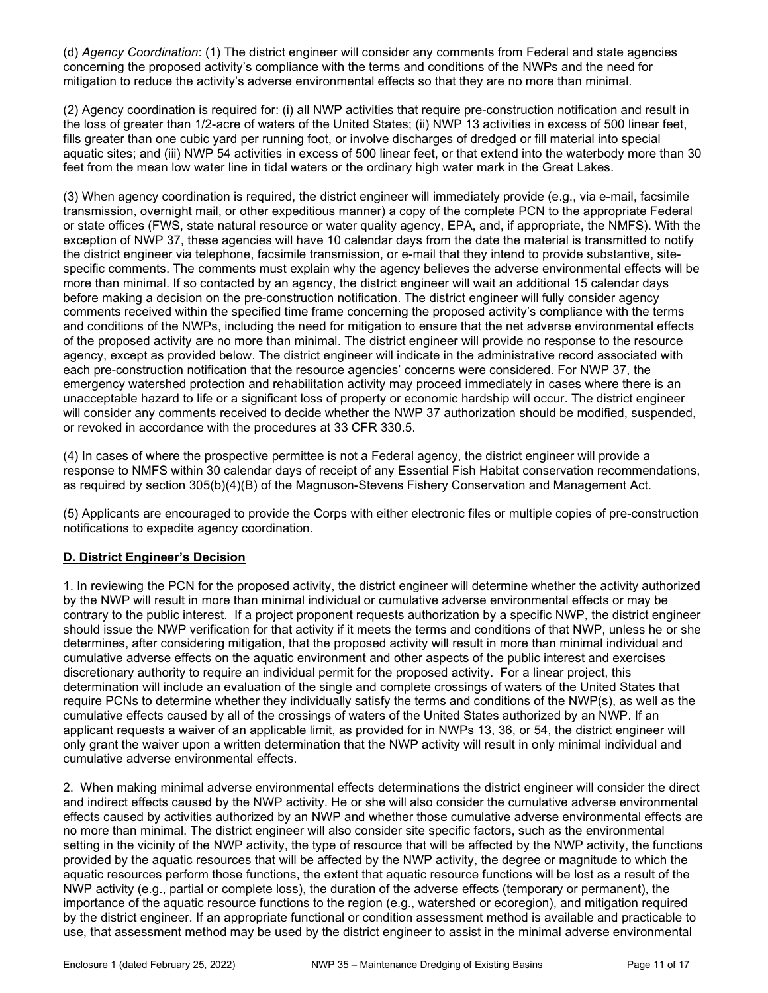(d) Agency Coordination: (1) The district engineer will consider any comments from Federal and state agencies concerning the proposed activity's compliance with the terms and conditions of the NWPs and the need for mitigation to reduce the activity's adverse environmental effects so that they are no more than minimal.

(2) Agency coordination is required for: (i) all NWP activities that require pre-construction notification and result in the loss of greater than 1/2-acre of waters of the United States; (ii) NWP 13 activities in excess of 500 linear feet, fills greater than one cubic yard per running foot, or involve discharges of dredged or fill material into special aquatic sites; and (iii) NWP 54 activities in excess of 500 linear feet, or that extend into the waterbody more than 30 feet from the mean low water line in tidal waters or the ordinary high water mark in the Great Lakes.

(3) When agency coordination is required, the district engineer will immediately provide (e.g., via e-mail, facsimile transmission, overnight mail, or other expeditious manner) a copy of the complete PCN to the appropriate Federal or state offices (FWS, state natural resource or water quality agency, EPA, and, if appropriate, the NMFS). With the exception of NWP 37, these agencies will have 10 calendar days from the date the material is transmitted to notify the district engineer via telephone, facsimile transmission, or e-mail that they intend to provide substantive, sitespecific comments. The comments must explain why the agency believes the adverse environmental effects will be more than minimal. If so contacted by an agency, the district engineer will wait an additional 15 calendar days before making a decision on the pre-construction notification. The district engineer will fully consider agency comments received within the specified time frame concerning the proposed activity's compliance with the terms and conditions of the NWPs, including the need for mitigation to ensure that the net adverse environmental effects of the proposed activity are no more than minimal. The district engineer will provide no response to the resource agency, except as provided below. The district engineer will indicate in the administrative record associated with each pre-construction notification that the resource agencies' concerns were considered. For NWP 37, the emergency watershed protection and rehabilitation activity may proceed immediately in cases where there is an unacceptable hazard to life or a significant loss of property or economic hardship will occur. The district engineer will consider any comments received to decide whether the NWP 37 authorization should be modified, suspended, or revoked in accordance with the procedures at 33 CFR 330.5.

(4) In cases of where the prospective permittee is not a Federal agency, the district engineer will provide a response to NMFS within 30 calendar days of receipt of any Essential Fish Habitat conservation recommendations, as required by section 305(b)(4)(B) of the Magnuson-Stevens Fishery Conservation and Management Act.

(5) Applicants are encouraged to provide the Corps with either electronic files or multiple copies of pre-construction notifications to expedite agency coordination.

# D. District Engineer's Decision

1. In reviewing the PCN for the proposed activity, the district engineer will determine whether the activity authorized by the NWP will result in more than minimal individual or cumulative adverse environmental effects or may be contrary to the public interest. If a project proponent requests authorization by a specific NWP, the district engineer should issue the NWP verification for that activity if it meets the terms and conditions of that NWP, unless he or she determines, after considering mitigation, that the proposed activity will result in more than minimal individual and cumulative adverse effects on the aquatic environment and other aspects of the public interest and exercises discretionary authority to require an individual permit for the proposed activity. For a linear project, this determination will include an evaluation of the single and complete crossings of waters of the United States that require PCNs to determine whether they individually satisfy the terms and conditions of the NWP(s), as well as the cumulative effects caused by all of the crossings of waters of the United States authorized by an NWP. If an applicant requests a waiver of an applicable limit, as provided for in NWPs 13, 36, or 54, the district engineer will only grant the waiver upon a written determination that the NWP activity will result in only minimal individual and cumulative adverse environmental effects.

2. When making minimal adverse environmental effects determinations the district engineer will consider the direct and indirect effects caused by the NWP activity. He or she will also consider the cumulative adverse environmental effects caused by activities authorized by an NWP and whether those cumulative adverse environmental effects are no more than minimal. The district engineer will also consider site specific factors, such as the environmental setting in the vicinity of the NWP activity, the type of resource that will be affected by the NWP activity, the functions provided by the aquatic resources that will be affected by the NWP activity, the degree or magnitude to which the aquatic resources perform those functions, the extent that aquatic resource functions will be lost as a result of the NWP activity (e.g., partial or complete loss), the duration of the adverse effects (temporary or permanent), the importance of the aquatic resource functions to the region (e.g., watershed or ecoregion), and mitigation required by the district engineer. If an appropriate functional or condition assessment method is available and practicable to use, that assessment method may be used by the district engineer to assist in the minimal adverse environmental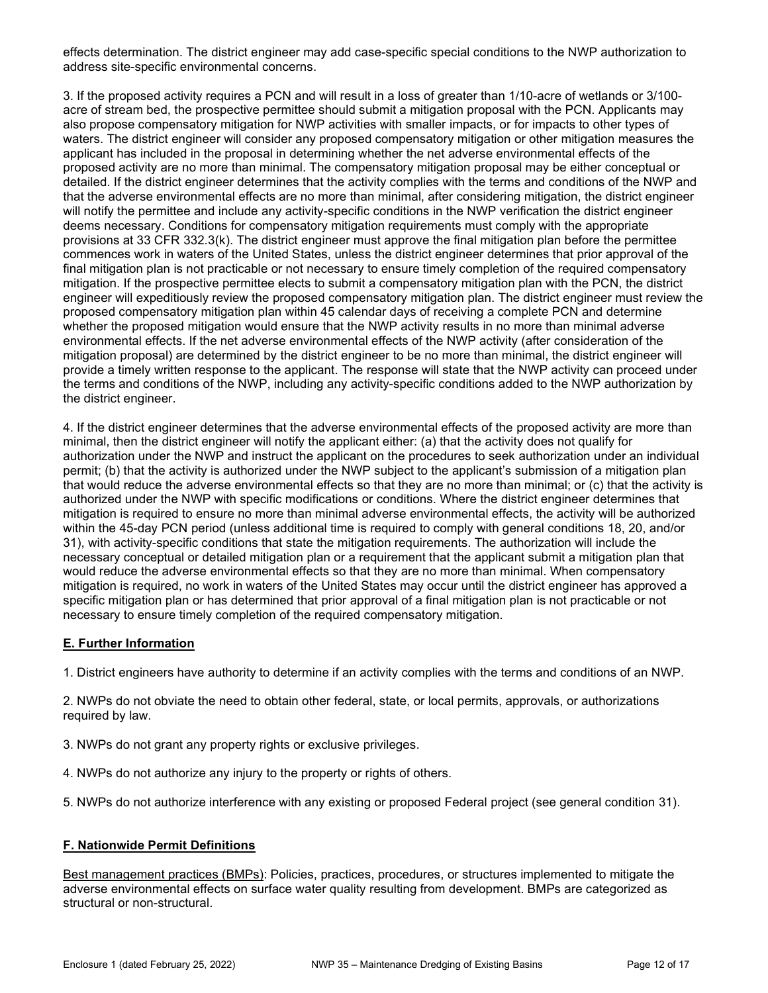effects determination. The district engineer may add case-specific special conditions to the NWP authorization to address site-specific environmental concerns.

3. If the proposed activity requires a PCN and will result in a loss of greater than 1/10-acre of wetlands or 3/100 acre of stream bed, the prospective permittee should submit a mitigation proposal with the PCN. Applicants may also propose compensatory mitigation for NWP activities with smaller impacts, or for impacts to other types of waters. The district engineer will consider any proposed compensatory mitigation or other mitigation measures the applicant has included in the proposal in determining whether the net adverse environmental effects of the proposed activity are no more than minimal. The compensatory mitigation proposal may be either conceptual or detailed. If the district engineer determines that the activity complies with the terms and conditions of the NWP and that the adverse environmental effects are no more than minimal, after considering mitigation, the district engineer will notify the permittee and include any activity-specific conditions in the NWP verification the district engineer deems necessary. Conditions for compensatory mitigation requirements must comply with the appropriate provisions at 33 CFR 332.3(k). The district engineer must approve the final mitigation plan before the permittee commences work in waters of the United States, unless the district engineer determines that prior approval of the final mitigation plan is not practicable or not necessary to ensure timely completion of the required compensatory mitigation. If the prospective permittee elects to submit a compensatory mitigation plan with the PCN, the district engineer will expeditiously review the proposed compensatory mitigation plan. The district engineer must review the proposed compensatory mitigation plan within 45 calendar days of receiving a complete PCN and determine whether the proposed mitigation would ensure that the NWP activity results in no more than minimal adverse environmental effects. If the net adverse environmental effects of the NWP activity (after consideration of the mitigation proposal) are determined by the district engineer to be no more than minimal, the district engineer will provide a timely written response to the applicant. The response will state that the NWP activity can proceed under the terms and conditions of the NWP, including any activity-specific conditions added to the NWP authorization by the district engineer.

4. If the district engineer determines that the adverse environmental effects of the proposed activity are more than minimal, then the district engineer will notify the applicant either: (a) that the activity does not qualify for authorization under the NWP and instruct the applicant on the procedures to seek authorization under an individual permit; (b) that the activity is authorized under the NWP subject to the applicant's submission of a mitigation plan that would reduce the adverse environmental effects so that they are no more than minimal; or (c) that the activity is authorized under the NWP with specific modifications or conditions. Where the district engineer determines that mitigation is required to ensure no more than minimal adverse environmental effects, the activity will be authorized within the 45-day PCN period (unless additional time is required to comply with general conditions 18, 20, and/or 31), with activity-specific conditions that state the mitigation requirements. The authorization will include the necessary conceptual or detailed mitigation plan or a requirement that the applicant submit a mitigation plan that would reduce the adverse environmental effects so that they are no more than minimal. When compensatory mitigation is required, no work in waters of the United States may occur until the district engineer has approved a specific mitigation plan or has determined that prior approval of a final mitigation plan is not practicable or not necessary to ensure timely completion of the required compensatory mitigation.

### E. Further Information

1. District engineers have authority to determine if an activity complies with the terms and conditions of an NWP.

2. NWPs do not obviate the need to obtain other federal, state, or local permits, approvals, or authorizations required by law.

- 3. NWPs do not grant any property rights or exclusive privileges.
- 4. NWPs do not authorize any injury to the property or rights of others.
- 5. NWPs do not authorize interference with any existing or proposed Federal project (see general condition 31).

### F. Nationwide Permit Definitions

Best management practices (BMPs): Policies, practices, procedures, or structures implemented to mitigate the adverse environmental effects on surface water quality resulting from development. BMPs are categorized as structural or non-structural.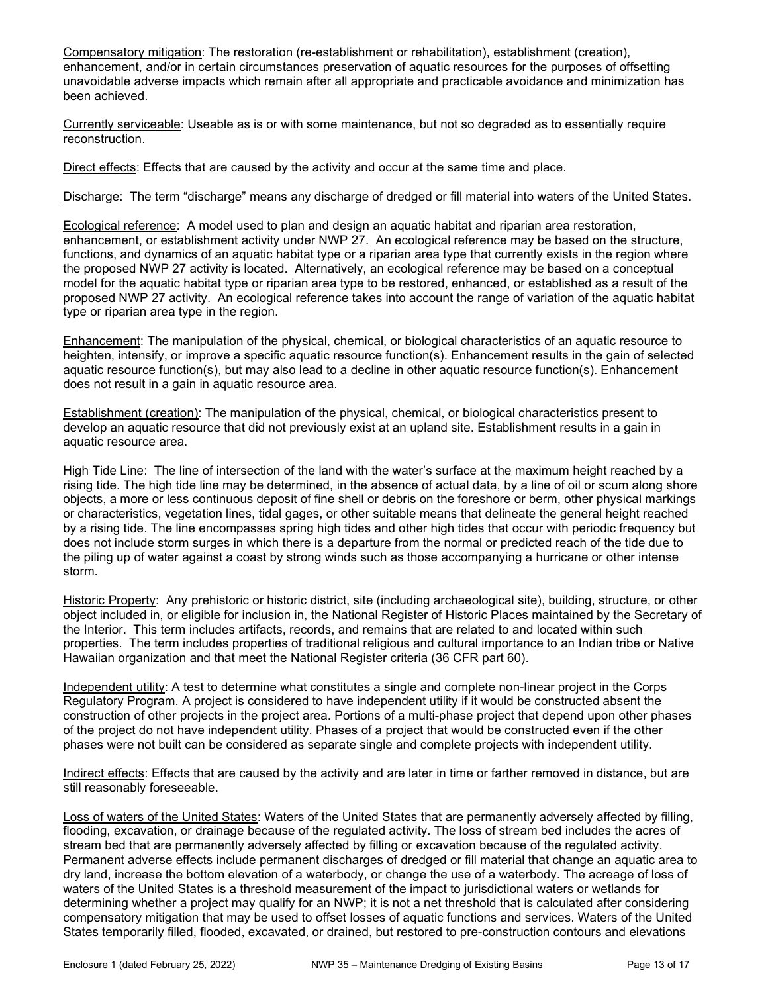Compensatory mitigation: The restoration (re-establishment or rehabilitation), establishment (creation), enhancement, and/or in certain circumstances preservation of aquatic resources for the purposes of offsetting unavoidable adverse impacts which remain after all appropriate and practicable avoidance and minimization has been achieved.

Currently serviceable: Useable as is or with some maintenance, but not so degraded as to essentially require reconstruction.

Direct effects: Effects that are caused by the activity and occur at the same time and place.

Discharge: The term "discharge" means any discharge of dredged or fill material into waters of the United States.

Ecological reference: A model used to plan and design an aquatic habitat and riparian area restoration, enhancement, or establishment activity under NWP 27. An ecological reference may be based on the structure, functions, and dynamics of an aquatic habitat type or a riparian area type that currently exists in the region where the proposed NWP 27 activity is located. Alternatively, an ecological reference may be based on a conceptual model for the aquatic habitat type or riparian area type to be restored, enhanced, or established as a result of the proposed NWP 27 activity. An ecological reference takes into account the range of variation of the aquatic habitat type or riparian area type in the region.

Enhancement: The manipulation of the physical, chemical, or biological characteristics of an aquatic resource to heighten, intensify, or improve a specific aquatic resource function(s). Enhancement results in the gain of selected aquatic resource function(s), but may also lead to a decline in other aquatic resource function(s). Enhancement does not result in a gain in aquatic resource area.

Establishment (creation): The manipulation of the physical, chemical, or biological characteristics present to develop an aquatic resource that did not previously exist at an upland site. Establishment results in a gain in aquatic resource area.

High Tide Line: The line of intersection of the land with the water's surface at the maximum height reached by a rising tide. The high tide line may be determined, in the absence of actual data, by a line of oil or scum along shore objects, a more or less continuous deposit of fine shell or debris on the foreshore or berm, other physical markings or characteristics, vegetation lines, tidal gages, or other suitable means that delineate the general height reached by a rising tide. The line encompasses spring high tides and other high tides that occur with periodic frequency but does not include storm surges in which there is a departure from the normal or predicted reach of the tide due to the piling up of water against a coast by strong winds such as those accompanying a hurricane or other intense storm.

Historic Property: Any prehistoric or historic district, site (including archaeological site), building, structure, or other object included in, or eligible for inclusion in, the National Register of Historic Places maintained by the Secretary of the Interior. This term includes artifacts, records, and remains that are related to and located within such properties. The term includes properties of traditional religious and cultural importance to an Indian tribe or Native Hawaiian organization and that meet the National Register criteria (36 CFR part 60).

Independent utility: A test to determine what constitutes a single and complete non-linear project in the Corps Regulatory Program. A project is considered to have independent utility if it would be constructed absent the construction of other projects in the project area. Portions of a multi-phase project that depend upon other phases of the project do not have independent utility. Phases of a project that would be constructed even if the other phases were not built can be considered as separate single and complete projects with independent utility.

Indirect effects: Effects that are caused by the activity and are later in time or farther removed in distance, but are still reasonably foreseeable.

Loss of waters of the United States: Waters of the United States that are permanently adversely affected by filling, flooding, excavation, or drainage because of the regulated activity. The loss of stream bed includes the acres of stream bed that are permanently adversely affected by filling or excavation because of the regulated activity. Permanent adverse effects include permanent discharges of dredged or fill material that change an aquatic area to dry land, increase the bottom elevation of a waterbody, or change the use of a waterbody. The acreage of loss of waters of the United States is a threshold measurement of the impact to jurisdictional waters or wetlands for determining whether a project may qualify for an NWP; it is not a net threshold that is calculated after considering compensatory mitigation that may be used to offset losses of aquatic functions and services. Waters of the United States temporarily filled, flooded, excavated, or drained, but restored to pre-construction contours and elevations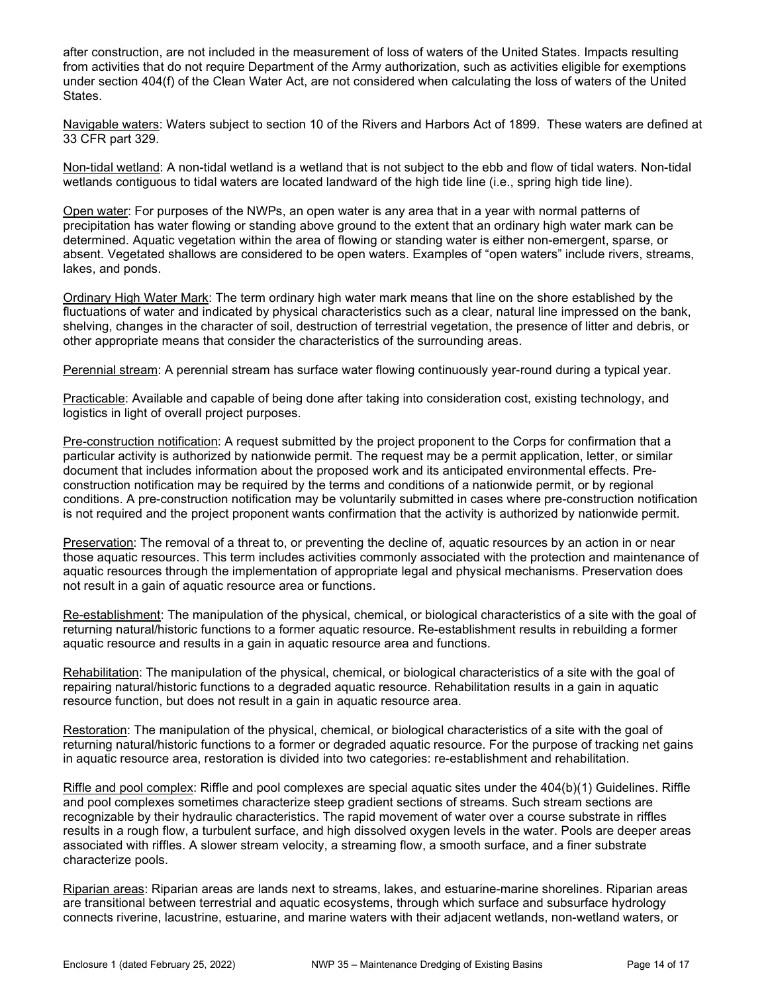after construction, are not included in the measurement of loss of waters of the United States. Impacts resulting from activities that do not require Department of the Army authorization, such as activities eligible for exemptions under section 404(f) of the Clean Water Act, are not considered when calculating the loss of waters of the United States.

Navigable waters: Waters subject to section 10 of the Rivers and Harbors Act of 1899. These waters are defined at 33 CFR part 329.

Non-tidal wetland: A non-tidal wetland is a wetland that is not subject to the ebb and flow of tidal waters. Non-tidal wetlands contiguous to tidal waters are located landward of the high tide line (i.e., spring high tide line).

Open water: For purposes of the NWPs, an open water is any area that in a year with normal patterns of precipitation has water flowing or standing above ground to the extent that an ordinary high water mark can be determined. Aquatic vegetation within the area of flowing or standing water is either non-emergent, sparse, or absent. Vegetated shallows are considered to be open waters. Examples of "open waters" include rivers, streams, lakes, and ponds.

Ordinary High Water Mark: The term ordinary high water mark means that line on the shore established by the fluctuations of water and indicated by physical characteristics such as a clear, natural line impressed on the bank, shelving, changes in the character of soil, destruction of terrestrial vegetation, the presence of litter and debris, or other appropriate means that consider the characteristics of the surrounding areas.

Perennial stream: A perennial stream has surface water flowing continuously year-round during a typical year.

Practicable: Available and capable of being done after taking into consideration cost, existing technology, and logistics in light of overall project purposes.

Pre-construction notification: A request submitted by the project proponent to the Corps for confirmation that a particular activity is authorized by nationwide permit. The request may be a permit application, letter, or similar document that includes information about the proposed work and its anticipated environmental effects. Preconstruction notification may be required by the terms and conditions of a nationwide permit, or by regional conditions. A pre-construction notification may be voluntarily submitted in cases where pre-construction notification is not required and the project proponent wants confirmation that the activity is authorized by nationwide permit.

Preservation: The removal of a threat to, or preventing the decline of, aquatic resources by an action in or near those aquatic resources. This term includes activities commonly associated with the protection and maintenance of aquatic resources through the implementation of appropriate legal and physical mechanisms. Preservation does not result in a gain of aquatic resource area or functions.

Re-establishment: The manipulation of the physical, chemical, or biological characteristics of a site with the goal of returning natural/historic functions to a former aquatic resource. Re-establishment results in rebuilding a former aquatic resource and results in a gain in aquatic resource area and functions.

Rehabilitation: The manipulation of the physical, chemical, or biological characteristics of a site with the goal of repairing natural/historic functions to a degraded aquatic resource. Rehabilitation results in a gain in aquatic resource function, but does not result in a gain in aquatic resource area.

Restoration: The manipulation of the physical, chemical, or biological characteristics of a site with the goal of returning natural/historic functions to a former or degraded aquatic resource. For the purpose of tracking net gains in aquatic resource area, restoration is divided into two categories: re-establishment and rehabilitation.

Riffle and pool complex: Riffle and pool complexes are special aquatic sites under the 404(b)(1) Guidelines. Riffle and pool complexes sometimes characterize steep gradient sections of streams. Such stream sections are recognizable by their hydraulic characteristics. The rapid movement of water over a course substrate in riffles results in a rough flow, a turbulent surface, and high dissolved oxygen levels in the water. Pools are deeper areas associated with riffles. A slower stream velocity, a streaming flow, a smooth surface, and a finer substrate characterize pools.

Riparian areas: Riparian areas are lands next to streams, lakes, and estuarine-marine shorelines. Riparian areas are transitional between terrestrial and aquatic ecosystems, through which surface and subsurface hydrology connects riverine, lacustrine, estuarine, and marine waters with their adjacent wetlands, non-wetland waters, or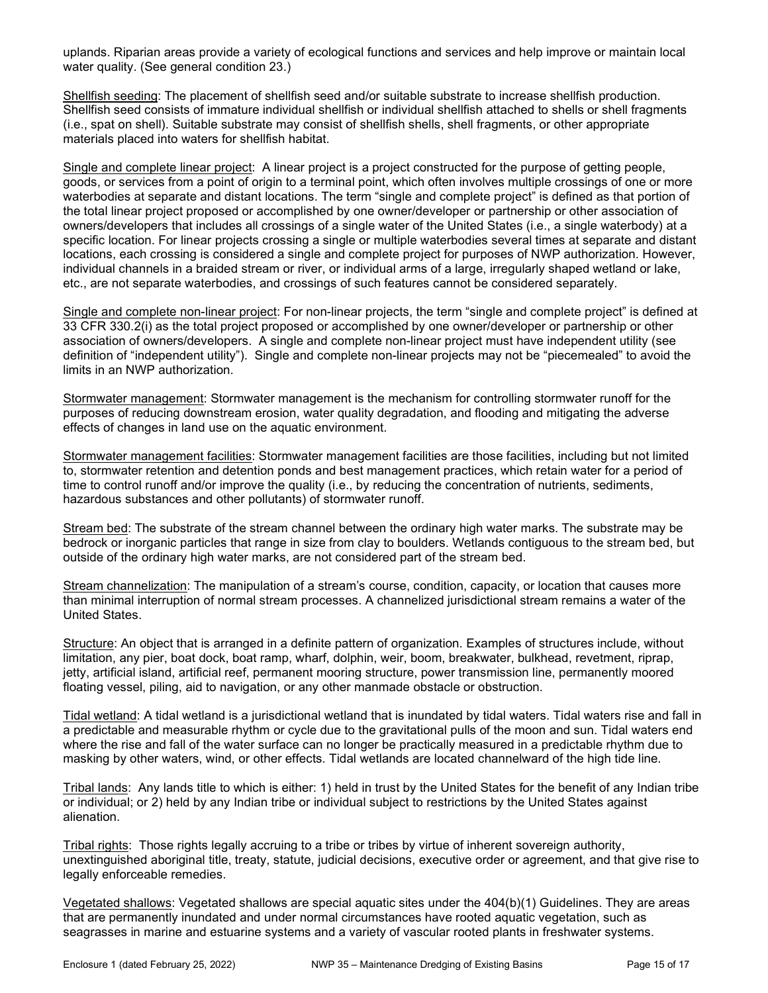uplands. Riparian areas provide a variety of ecological functions and services and help improve or maintain local water quality. (See general condition 23.)

Shellfish seeding: The placement of shellfish seed and/or suitable substrate to increase shellfish production. Shellfish seed consists of immature individual shellfish or individual shellfish attached to shells or shell fragments (i.e., spat on shell). Suitable substrate may consist of shellfish shells, shell fragments, or other appropriate materials placed into waters for shellfish habitat.

Single and complete linear project: A linear project is a project constructed for the purpose of getting people, goods, or services from a point of origin to a terminal point, which often involves multiple crossings of one or more waterbodies at separate and distant locations. The term "single and complete project" is defined as that portion of the total linear project proposed or accomplished by one owner/developer or partnership or other association of owners/developers that includes all crossings of a single water of the United States (i.e., a single waterbody) at a specific location. For linear projects crossing a single or multiple waterbodies several times at separate and distant locations, each crossing is considered a single and complete project for purposes of NWP authorization. However, individual channels in a braided stream or river, or individual arms of a large, irregularly shaped wetland or lake, etc., are not separate waterbodies, and crossings of such features cannot be considered separately.

Single and complete non-linear project: For non-linear projects, the term "single and complete project" is defined at 33 CFR 330.2(i) as the total project proposed or accomplished by one owner/developer or partnership or other association of owners/developers. A single and complete non-linear project must have independent utility (see definition of "independent utility"). Single and complete non-linear projects may not be "piecemealed" to avoid the limits in an NWP authorization.

Stormwater management: Stormwater management is the mechanism for controlling stormwater runoff for the purposes of reducing downstream erosion, water quality degradation, and flooding and mitigating the adverse effects of changes in land use on the aquatic environment.

Stormwater management facilities: Stormwater management facilities are those facilities, including but not limited to, stormwater retention and detention ponds and best management practices, which retain water for a period of time to control runoff and/or improve the quality (i.e., by reducing the concentration of nutrients, sediments, hazardous substances and other pollutants) of stormwater runoff.

Stream bed: The substrate of the stream channel between the ordinary high water marks. The substrate may be bedrock or inorganic particles that range in size from clay to boulders. Wetlands contiguous to the stream bed, but outside of the ordinary high water marks, are not considered part of the stream bed.

Stream channelization: The manipulation of a stream's course, condition, capacity, or location that causes more than minimal interruption of normal stream processes. A channelized jurisdictional stream remains a water of the United States.

Structure: An object that is arranged in a definite pattern of organization. Examples of structures include, without limitation, any pier, boat dock, boat ramp, wharf, dolphin, weir, boom, breakwater, bulkhead, revetment, riprap, jetty, artificial island, artificial reef, permanent mooring structure, power transmission line, permanently moored floating vessel, piling, aid to navigation, or any other manmade obstacle or obstruction.

Tidal wetland: A tidal wetland is a jurisdictional wetland that is inundated by tidal waters. Tidal waters rise and fall in a predictable and measurable rhythm or cycle due to the gravitational pulls of the moon and sun. Tidal waters end where the rise and fall of the water surface can no longer be practically measured in a predictable rhythm due to masking by other waters, wind, or other effects. Tidal wetlands are located channelward of the high tide line.

Tribal lands: Any lands title to which is either: 1) held in trust by the United States for the benefit of any Indian tribe or individual; or 2) held by any Indian tribe or individual subject to restrictions by the United States against alienation.

Tribal rights: Those rights legally accruing to a tribe or tribes by virtue of inherent sovereign authority, unextinguished aboriginal title, treaty, statute, judicial decisions, executive order or agreement, and that give rise to legally enforceable remedies.

Vegetated shallows: Vegetated shallows are special aquatic sites under the 404(b)(1) Guidelines. They are areas that are permanently inundated and under normal circumstances have rooted aquatic vegetation, such as seagrasses in marine and estuarine systems and a variety of vascular rooted plants in freshwater systems.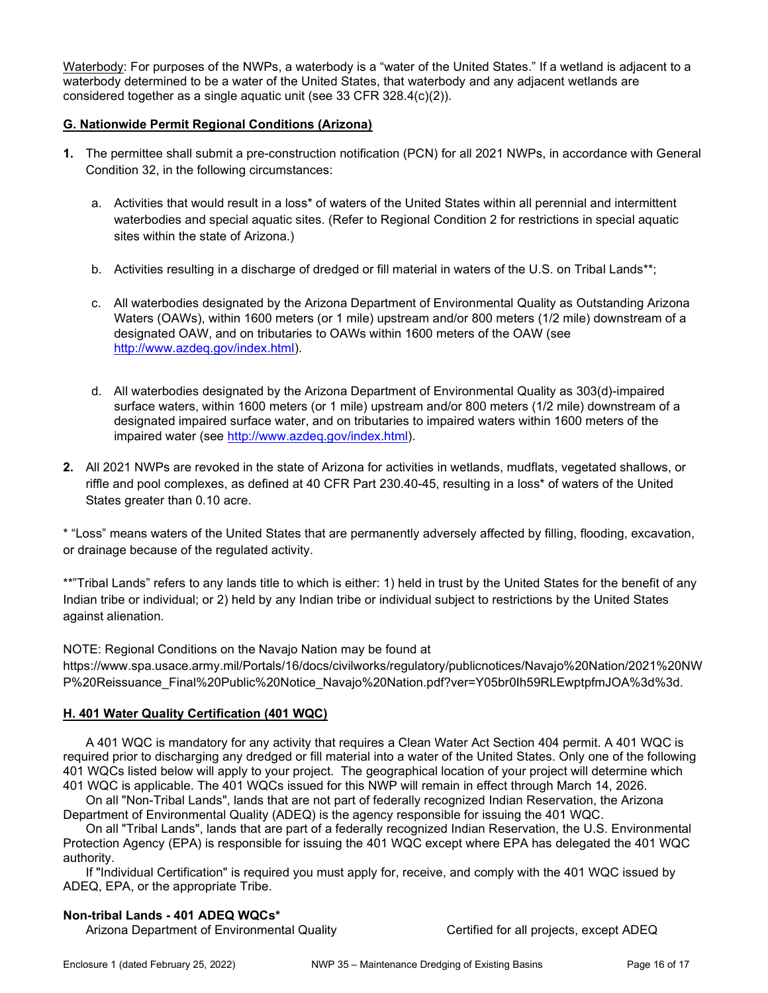Waterbody: For purposes of the NWPs, a waterbody is a "water of the United States." If a wetland is adjacent to a waterbody determined to be a water of the United States, that waterbody and any adjacent wetlands are considered together as a single aquatic unit (see 33 CFR 328.4(c)(2)).

### G. Nationwide Permit Regional Conditions (Arizona)

- 1. The permittee shall submit a pre-construction notification (PCN) for all 2021 NWPs, in accordance with General Condition 32, in the following circumstances:
	- a. Activities that would result in a loss\* of waters of the United States within all perennial and intermittent waterbodies and special aquatic sites. (Refer to Regional Condition 2 for restrictions in special aquatic sites within the state of Arizona.)
	- b. Activities resulting in a discharge of dredged or fill material in waters of the U.S. on Tribal Lands\*\*;
	- c. All waterbodies designated by the Arizona Department of Environmental Quality as Outstanding Arizona Waters (OAWs), within 1600 meters (or 1 mile) upstream and/or 800 meters (1/2 mile) downstream of a designated OAW, and on tributaries to OAWs within 1600 meters of the OAW (see http://www.azdeq.gov/index.html).
	- d. All waterbodies designated by the Arizona Department of Environmental Quality as 303(d)-impaired surface waters, within 1600 meters (or 1 mile) upstream and/or 800 meters (1/2 mile) downstream of a designated impaired surface water, and on tributaries to impaired waters within 1600 meters of the impaired water (see http://www.azdeq.gov/index.html).
- 2. All 2021 NWPs are revoked in the state of Arizona for activities in wetlands, mudflats, vegetated shallows, or riffle and pool complexes, as defined at 40 CFR Part 230.40-45, resulting in a loss\* of waters of the United States greater than 0.10 acre.

\* "Loss" means waters of the United States that are permanently adversely affected by filling, flooding, excavation, or drainage because of the regulated activity.

\*\*"Tribal Lands" refers to any lands title to which is either: 1) held in trust by the United States for the benefit of any Indian tribe or individual; or 2) held by any Indian tribe or individual subject to restrictions by the United States against alienation.

NOTE: Regional Conditions on the Navajo Nation may be found at

https://www.spa.usace.army.mil/Portals/16/docs/civilworks/regulatory/publicnotices/Navajo%20Nation/2021%20NW P%20Reissuance\_Final%20Public%20Notice\_Navajo%20Nation.pdf?ver=Y05br0Ih59RLEwptpfmJOA%3d%3d.

#### H. 401 Water Quality Certification (401 WQC)

 A 401 WQC is mandatory for any activity that requires a Clean Water Act Section 404 permit. A 401 WQC is required prior to discharging any dredged or fill material into a water of the United States. Only one of the following 401 WQCs listed below will apply to your project. The geographical location of your project will determine which 401 WQC is applicable. The 401 WQCs issued for this NWP will remain in effect through March 14, 2026.

 On all "Non-Tribal Lands", lands that are not part of federally recognized Indian Reservation, the Arizona Department of Environmental Quality (ADEQ) is the agency responsible for issuing the 401 WQC.

 On all "Tribal Lands", lands that are part of a federally recognized Indian Reservation, the U.S. Environmental Protection Agency (EPA) is responsible for issuing the 401 WQC except where EPA has delegated the 401 WQC authority.

 If "Individual Certification" is required you must apply for, receive, and comply with the 401 WQC issued by ADEQ, EPA, or the appropriate Tribe.

#### Non-tribal Lands - 401 ADEQ WQCs\*

Arizona Department of Environmental Quality Christian Certified for all projects, except ADEQ